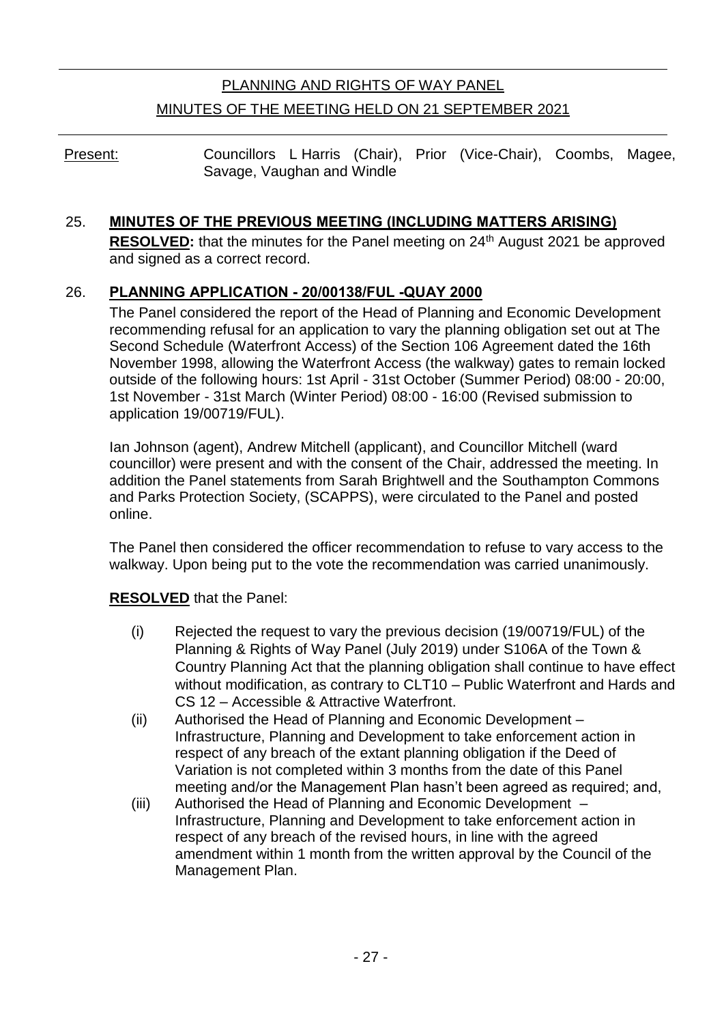# PLANNING AND RIGHTS OF WAY PANEL MINUTES OF THE MEETING HELD ON 21 SEPTEMBER 2021

Present: Councillors L Harris (Chair), Prior (Vice-Chair), Coombs, Magee, Savage, Vaughan and Windle

# 25. **MINUTES OF THE PREVIOUS MEETING (INCLUDING MATTERS ARISING)**

**RESOLVED:** that the minutes for the Panel meeting on 24<sup>th</sup> August 2021 be approved and signed as a correct record.

# 26. **PLANNING APPLICATION - 20/00138/FUL -QUAY 2000**

The Panel considered the report of the Head of Planning and Economic Development recommending refusal for an application to vary the planning obligation set out at The Second Schedule (Waterfront Access) of the Section 106 Agreement dated the 16th November 1998, allowing the Waterfront Access (the walkway) gates to remain locked outside of the following hours: 1st April - 31st October (Summer Period) 08:00 - 20:00, 1st November - 31st March (Winter Period) 08:00 - 16:00 (Revised submission to application 19/00719/FUL).

Ian Johnson (agent), Andrew Mitchell (applicant), and Councillor Mitchell (ward councillor) were present and with the consent of the Chair, addressed the meeting. In addition the Panel statements from Sarah Brightwell and the Southampton Commons and Parks Protection Society, (SCAPPS), were circulated to the Panel and posted online.

The Panel then considered the officer recommendation to refuse to vary access to the walkway. Upon being put to the vote the recommendation was carried unanimously.

### **RESOLVED** that the Panel:

- (i) Rejected the request to vary the previous decision (19/00719/FUL) of the Planning & Rights of Way Panel (July 2019) under S106A of the Town & Country Planning Act that the planning obligation shall continue to have effect without modification, as contrary to CLT10 – Public Waterfront and Hards and CS 12 – Accessible & Attractive Waterfront.
- (ii) Authorised the Head of Planning and Economic Development Infrastructure, Planning and Development to take enforcement action in respect of any breach of the extant planning obligation if the Deed of Variation is not completed within 3 months from the date of this Panel meeting and/or the Management Plan hasn't been agreed as required; and,
- (iii) Authorised the Head of Planning and Economic Development Infrastructure, Planning and Development to take enforcement action in respect of any breach of the revised hours, in line with the agreed amendment within 1 month from the written approval by the Council of the Management Plan.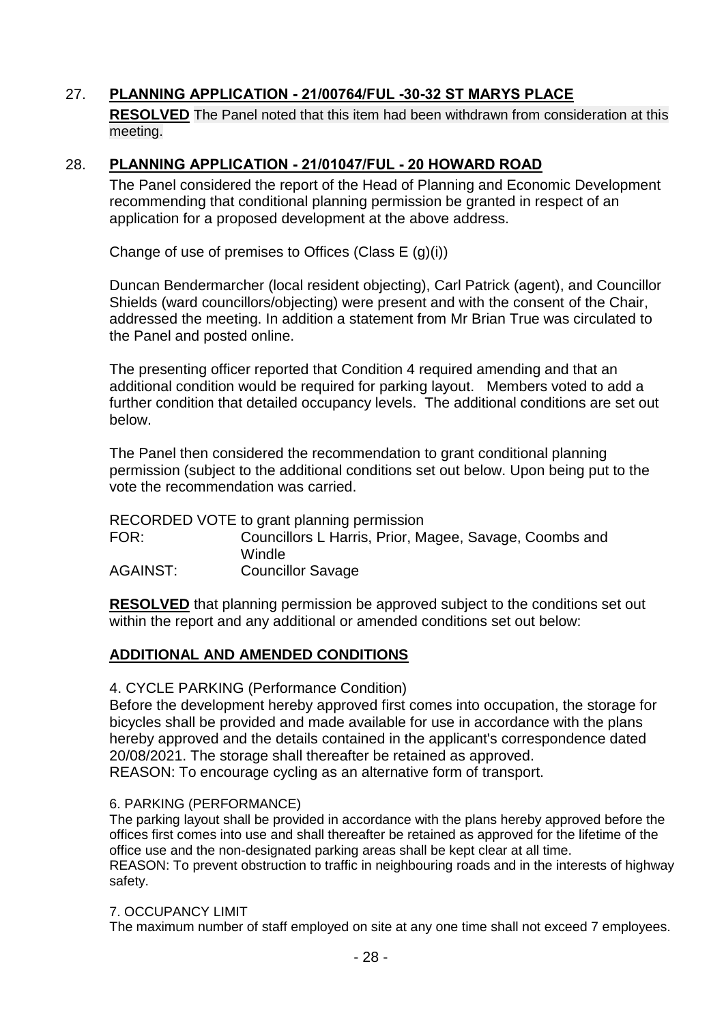# 27. **PLANNING APPLICATION - 21/00764/FUL -30-32 ST MARYS PLACE**

**RESOLVED** The Panel noted that this item had been withdrawn from consideration at this meeting.

### 28. **PLANNING APPLICATION - 21/01047/FUL - 20 HOWARD ROAD**

The Panel considered the report of the Head of Planning and Economic Development recommending that conditional planning permission be granted in respect of an application for a proposed development at the above address.

Change of use of premises to Offices (Class E (g)(i))

Duncan Bendermarcher (local resident objecting), Carl Patrick (agent), and Councillor Shields (ward councillors/objecting) were present and with the consent of the Chair, addressed the meeting. In addition a statement from Mr Brian True was circulated to the Panel and posted online.

The presenting officer reported that Condition 4 required amending and that an additional condition would be required for parking layout. Members voted to add a further condition that detailed occupancy levels. The additional conditions are set out below.

The Panel then considered the recommendation to grant conditional planning permission (subject to the additional conditions set out below. Upon being put to the vote the recommendation was carried.

RECORDED VOTE to grant planning permission FOR: Councillors L Harris, Prior, Magee, Savage, Coombs and Windle AGAINST: Councillor Savage

**RESOLVED** that planning permission be approved subject to the conditions set out within the report and any additional or amended conditions set out below:

### **ADDITIONAL AND AMENDED CONDITIONS**

4. CYCLE PARKING (Performance Condition)

Before the development hereby approved first comes into occupation, the storage for bicycles shall be provided and made available for use in accordance with the plans hereby approved and the details contained in the applicant's correspondence dated 20/08/2021. The storage shall thereafter be retained as approved. REASON: To encourage cycling as an alternative form of transport.

#### 6. PARKING (PERFORMANCE)

The parking layout shall be provided in accordance with the plans hereby approved before the offices first comes into use and shall thereafter be retained as approved for the lifetime of the office use and the non-designated parking areas shall be kept clear at all time. REASON: To prevent obstruction to traffic in neighbouring roads and in the interests of highway safety.

#### 7. OCCUPANCY LIMIT

The maximum number of staff employed on site at any one time shall not exceed 7 employees.